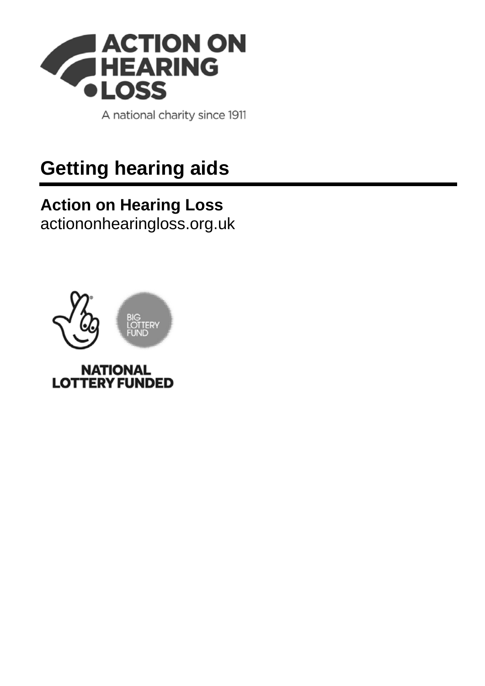

A national charity since 1911

# **Getting hearing aids**

### **Action on Hearing Loss** [actiononhearingloss.org.uk](https://www.actiononhearingloss.org.uk/)

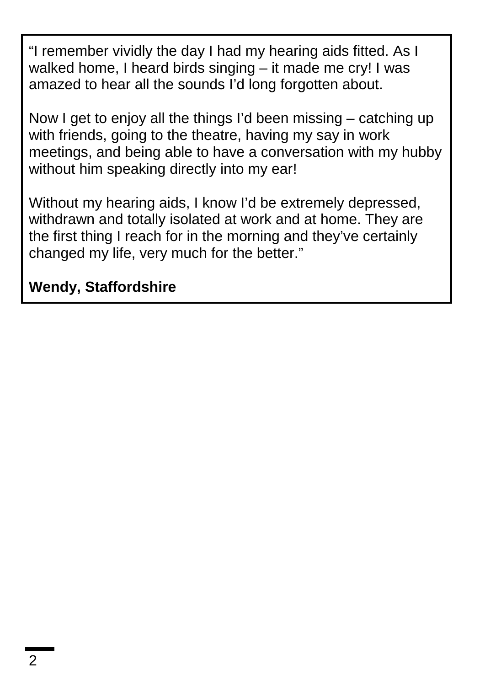"I remember vividly the day I had my hearing aids fitted. As I walked home, I heard birds singing – it made me cry! I was amazed to hear all the sounds I'd long forgotten about.

Now I get to enjoy all the things I'd been missing – catching up with friends, going to the theatre, having my say in work meetings, and being able to have a conversation with my hubby without him speaking directly into my ear!

Without my hearing aids, I know I'd be extremely depressed, withdrawn and totally isolated at work and at home. They are the first thing I reach for in the morning and they've certainly changed my life, very much for the better."

### **Wendy, Staffordshire**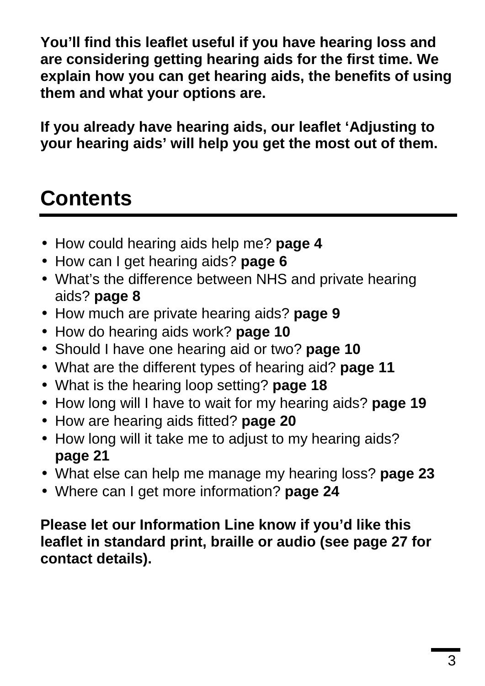**You'll find this leaflet useful if you have hearing loss and are considering getting hearing aids for the first time. We explain how you can get hearing aids, the benefits of using them and what your options are.**

**If you already have hearing aids, our leaflet 'Adjusting to your hearing aids' will help you get the most out of them.**

# **Contents**

- How could hearing aids help me? **page 4**
- How can I get hearing aids? **page 6**
- What's the difference between NHS and private hearing aids? **page 8**
- How much are private hearing aids? **page 9**
- How do hearing aids work? **page 10**
- Should I have one hearing aid or two? **page 10**
- What are the different types of hearing aid? **page 11**
- What is the hearing loop setting? **page 18**
- How long will I have to wait for my hearing aids? **page 19**
- How are hearing aids fitted? **page 20**
- How long will it take me to adjust to my hearing aids? **page 21**
- What else can help me manage my hearing loss? **page 23**
- Where can I get more information? **page 24**

**Please let our Information Line know if you'd like this leaflet in standard print, braille or audio (see page 27 for contact details).**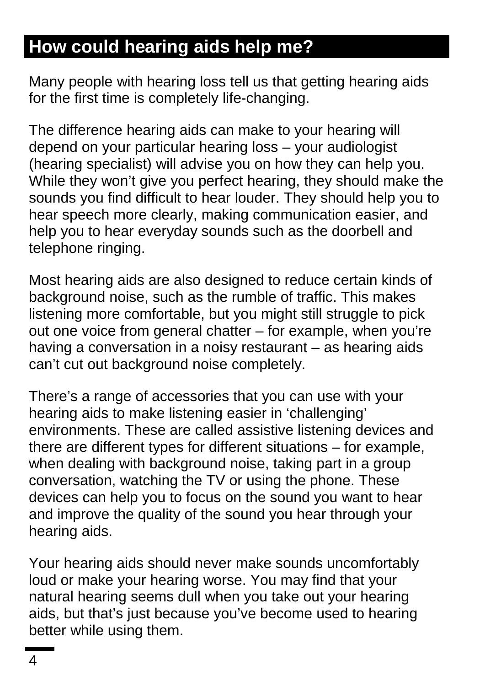## **How could hearing aids help me?**

Many people with hearing loss tell us that getting hearing aids for the first time is completely life-changing.

The difference hearing aids can make to your hearing will depend on your particular hearing loss – your audiologist (hearing specialist) will advise you on how they can help you. While they won't give you perfect hearing, they should make the sounds you find difficult to hear louder. They should help you to hear speech more clearly, making communication easier, and help you to hear everyday sounds such as the doorbell and telephone ringing.

Most hearing aids are also designed to reduce certain kinds of background noise, such as the rumble of traffic. This makes listening more comfortable, but you might still struggle to pick out one voice from general chatter – for example, when you're having a conversation in a noisy restaurant – as hearing aids can't cut out background noise completely.

There's a range of accessories that you can use with your hearing aids to make listening easier in 'challenging' environments. These are called assistive listening devices and there are different types for different situations – for example, when dealing with background noise, taking part in a group conversation, watching the TV or using the phone. These devices can help you to focus on the sound you want to hear and improve the quality of the sound you hear through your hearing aids.

Your hearing aids should never make sounds uncomfortably loud or make your hearing worse. You may find that your natural hearing seems dull when you take out your hearing aids, but that's just because you've become used to hearing better while using them.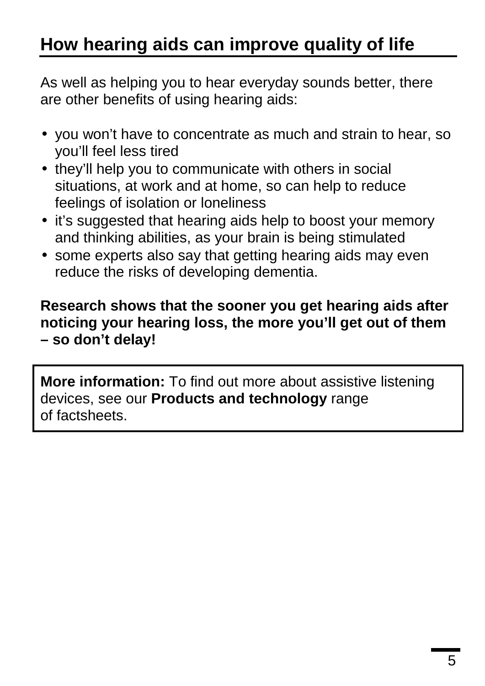## **How hearing aids can improve quality of life**

As well as helping you to hear everyday sounds better, there are other benefits of using hearing aids:

- you won't have to concentrate as much and strain to hear, so you'll feel less tired
- they'll help you to communicate with others in social situations, at work and at home, so can help to reduce feelings of isolation or loneliness
- $\cdot$  it's suggested that hearing aids help to boost your memory and thinking abilities, as your brain is being stimulated
- some experts also say that getting hearing aids may even reduce the risks of developing dementia.

#### **Research shows that the sooner you get hearing aids after noticing your hearing loss, the more you'll get out of them – so don't delay!**

**More information:** To find out more about assistive listening devices, see our **Products and technology** range of factsheets.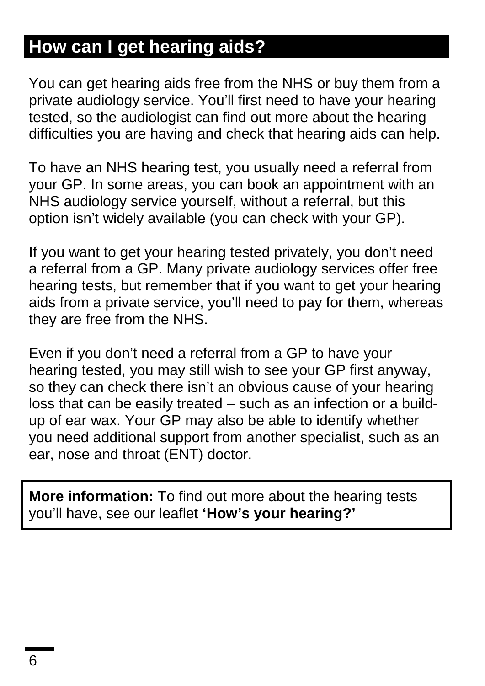## **How can I get hearing aids?**

You can get hearing aids free from the NHS or buy them from a private audiology service. You'll first need to have your hearing tested, so the audiologist can find out more about the hearing difficulties you are having and check that hearing aids can help.

To have an NHS hearing test, you usually need a referral from your GP. In some areas, you can book an appointment with an NHS audiology service yourself, without a referral, but this option isn't widely available (you can check with your GP).

If you want to get your hearing tested privately, you don't need a referral from a GP. Many private audiology services offer free hearing tests, but remember that if you want to get your hearing aids from a private service, you'll need to pay for them, whereas they are free from the NHS.

Even if you don't need a referral from a GP to have your hearing tested, you may still wish to see your GP first anyway, so they can check there isn't an obvious cause of your hearing loss that can be easily treated – such as an infection or a buildup of ear wax. Your GP may also be able to identify whether you need additional support from another specialist, such as an ear, nose and throat (ENT) doctor.

**More information:** To find out more about the hearing tests you'll have, see our leaflet **'How's your hearing?'**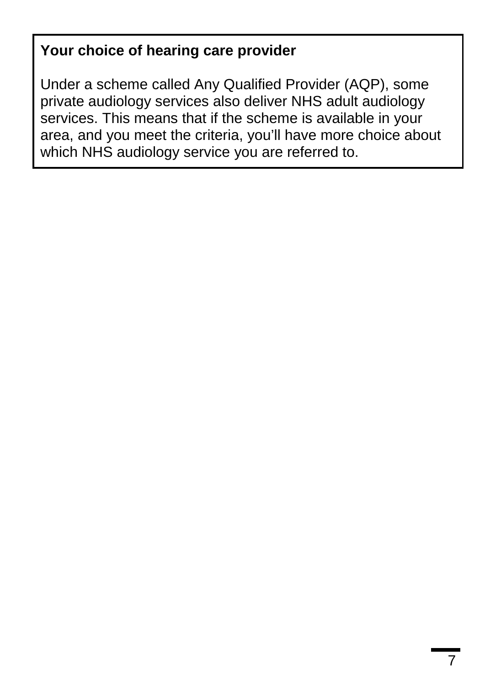#### **Your choice of hearing care provider**

Under a scheme called Any Qualified Provider (AQP), some private audiology services also deliver NHS adult audiology services. This means that if the scheme is available in your area, and you meet the criteria, you'll have more choice about which NHS audiology service you are referred to.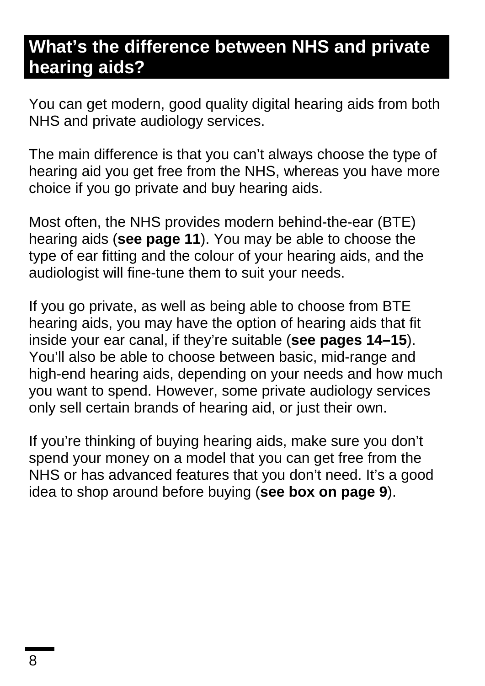### **What's the difference between NHS and private hearing aids?**

You can get modern, good quality digital hearing aids from both NHS and private audiology services.

The main difference is that you can't always choose the type of hearing aid you get free from the NHS, whereas you have more choice if you go private and buy hearing aids.

Most often, the NHS provides modern behind-the-ear (BTE) hearing aids (**see page 11**). You may be able to choose the type of ear fitting and the colour of your hearing aids, and the audiologist will fine-tune them to suit your needs.

If you go private, as well as being able to choose from BTE hearing aids, you may have the option of hearing aids that fit inside your ear canal, if they're suitable (**see pages 14–15**). You'll also be able to choose between basic, mid-range and high-end hearing aids, depending on your needs and how much you want to spend. However, some private audiology services only sell certain brands of hearing aid, or just their own.

If you're thinking of buying hearing aids, make sure you don't spend your money on a model that you can get free from the NHS or has advanced features that you don't need. It's a good idea to shop around before buying (**see box on page 9**).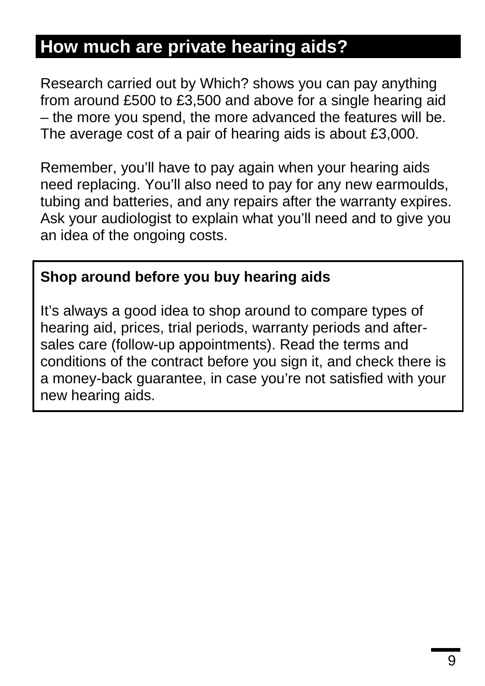### **How much are private hearing aids?**

Research carried out by Which? shows you can pay anything from around £500 to £3,500 and above for a single hearing aid – the more you spend, the more advanced the features will be. The average cost of a pair of hearing aids is about £3,000.

Remember, you'll have to pay again when your hearing aids need replacing. You'll also need to pay for any new earmoulds, tubing and batteries, and any repairs after the warranty expires. Ask your audiologist to explain what you'll need and to give you an idea of the ongoing costs.

#### **Shop around before you buy hearing aids**

It's always a good idea to shop around to compare types of hearing aid, prices, trial periods, warranty periods and aftersales care (follow-up appointments). Read the terms and conditions of the contract before you sign it, and check there is a money-back guarantee, in case you're not satisfied with your new hearing aids.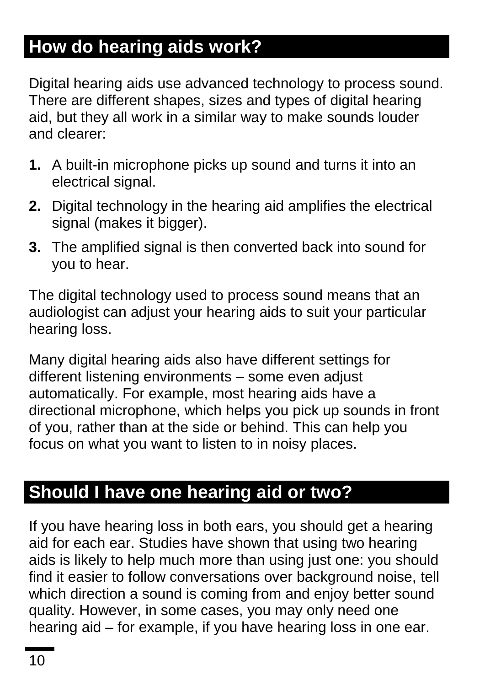## **How do hearing aids work?**

Digital hearing aids use advanced technology to process sound. There are different shapes, sizes and types of digital hearing aid, but they all work in a similar way to make sounds louder and clearer:

- **1.** A built-in microphone picks up sound and turns it into an electrical signal.
- **2.** Digital technology in the hearing aid amplifies the electrical signal (makes it bigger).
- **3.** The amplified signal is then converted back into sound for you to hear.

The digital technology used to process sound means that an audiologist can adjust your hearing aids to suit your particular hearing loss.

Many digital hearing aids also have different settings for different listening environments – some even adjust automatically. For example, most hearing aids have a directional microphone, which helps you pick up sounds in front of you, rather than at the side or behind. This can help you focus on what you want to listen to in noisy places.

### **Should I have one hearing aid or two?**

If you have hearing loss in both ears, you should get a hearing aid for each ear. Studies have shown that using two hearing aids is likely to help much more than using just one: you should find it easier to follow conversations over background noise, tell which direction a sound is coming from and enjoy better sound quality. However, in some cases, you may only need one hearing aid – for example, if you have hearing loss in one ear.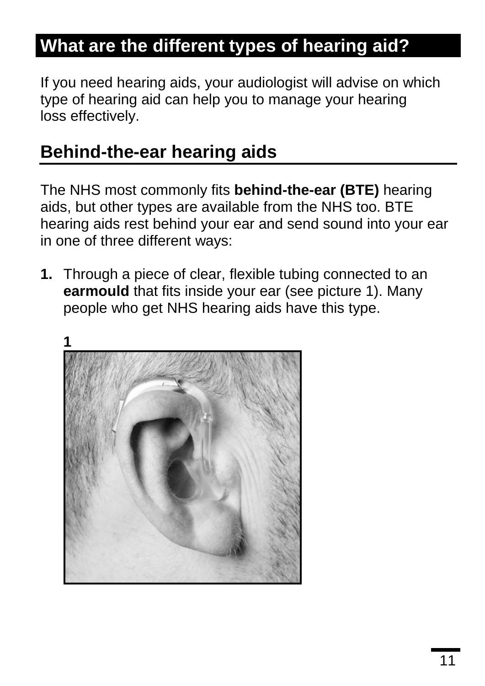## **What are the different types of hearing aid?**

If you need hearing aids, your audiologist will advise on which type of hearing aid can help you to manage your hearing loss effectively.

### **Behind-the-ear hearing aids**

The NHS most commonly fits **behind-the-ear (BTE)** hearing aids, but other types are available from the NHS too. BTE hearing aids rest behind your ear and send sound into your ear in one of three different ways:

**1.** Through a piece of clear, flexible tubing connected to an **earmould** that fits inside your ear (see picture 1). Many people who get NHS hearing aids have this type.

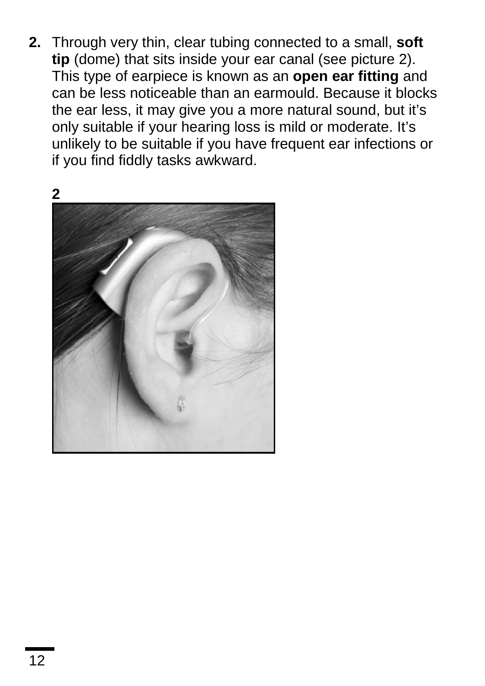**2.** Through very thin, clear tubing connected to a small, **soft tip** (dome) that sits inside your ear canal (see picture 2). This type of earpiece is known as an **open ear fitting** and can be less noticeable than an earmould. Because it blocks the ear less, it may give you a more natural sound, but it's only suitable if your hearing loss is mild or moderate. It's unlikely to be suitable if you have frequent ear infections or if you find fiddly tasks awkward.

**2** 

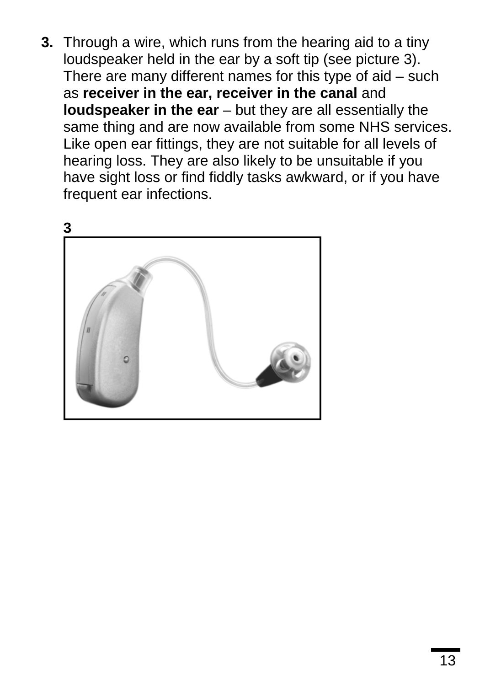**3.** Through a wire, which runs from the hearing aid to a tiny loudspeaker held in the ear by a soft tip (see picture 3). There are many different names for this type of aid – such as **receiver in the ear, receiver in the canal** and **loudspeaker in the ear** – but they are all essentially the same thing and are now available from some NHS services. Like open ear fittings, they are not suitable for all levels of hearing loss. They are also likely to be unsuitable if you have sight loss or find fiddly tasks awkward, or if you have frequent ear infections.

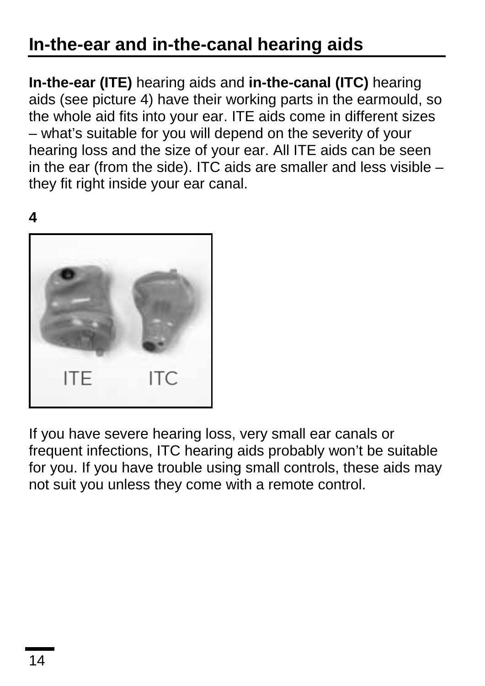## **In-the-ear and in-the-canal hearing aids**

**In-the-ear (ITE)** hearing aids and **in-the-canal (ITC)** hearing aids (see picture 4) have their working parts in the earmould, so the whole aid fits into your ear. ITE aids come in different sizes – what's suitable for you will depend on the severity of your hearing loss and the size of your ear. All ITE aids can be seen in the ear (from the side). ITC aids are smaller and less visible – they fit right inside your ear canal.

**4** 



If you have severe hearing loss, very small ear canals or frequent infections, ITC hearing aids probably won't be suitable for you. If you have trouble using small controls, these aids may not suit you unless they come with a remote control.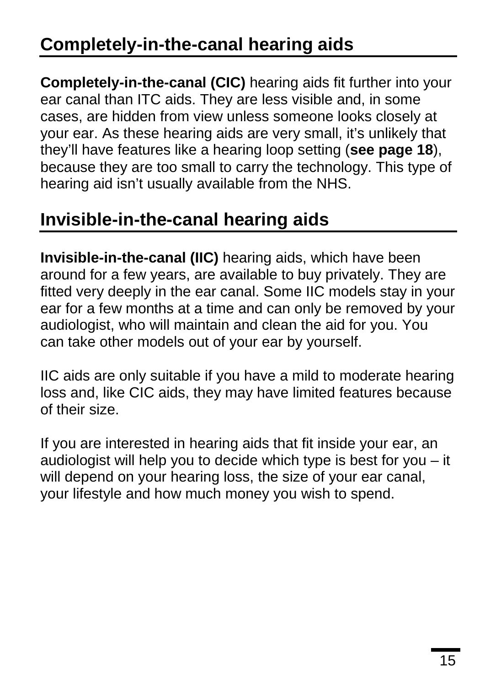## **Completely-in-the-canal hearing aids**

**Completely-in-the-canal (CIC)** hearing aids fit further into your ear canal than ITC aids. They are less visible and, in some cases, are hidden from view unless someone looks closely at your ear. As these hearing aids are very small, it's unlikely that they'll have features like a hearing loop setting (**see page 18**), because they are too small to carry the technology. This type of hearing aid isn't usually available from the NHS.

### **Invisible-in-the-canal hearing aids**

**Invisible-in-the-canal (IIC)** hearing aids, which have been around for a few years, are available to buy privately. They are fitted very deeply in the ear canal. Some IIC models stay in your ear for a few months at a time and can only be removed by your audiologist, who will maintain and clean the aid for you. You can take other models out of your ear by yourself.

IIC aids are only suitable if you have a mild to moderate hearing loss and, like CIC aids, they may have limited features because of their size.

If you are interested in hearing aids that fit inside your ear, an audiologist will help you to decide which type is best for you – it will depend on your hearing loss, the size of your ear canal, your lifestyle and how much money you wish to spend.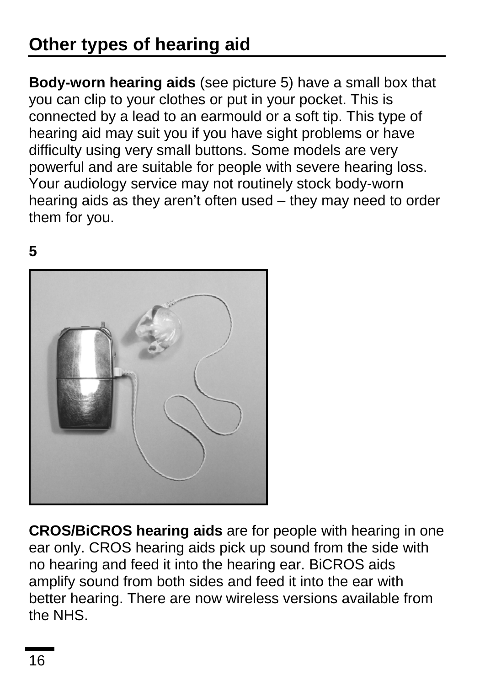## **Other types of hearing aid**

**Body-worn hearing aids** (see picture 5) have a small box that you can clip to your clothes or put in your pocket. This is connected by a lead to an earmould or a soft tip. This type of hearing aid may suit you if you have sight problems or have difficulty using very small buttons. Some models are very powerful and are suitable for people with severe hearing loss. Your audiology service may not routinely stock body-worn hearing aids as they aren't often used – they may need to order them for you.

#### **5**



**CROS/BiCROS hearing aids** are for people with hearing in one ear only. CROS hearing aids pick up sound from the side with no hearing and feed it into the hearing ear. BiCROS aids amplify sound from both sides and feed it into the ear with better hearing. There are now wireless versions available from the NHS.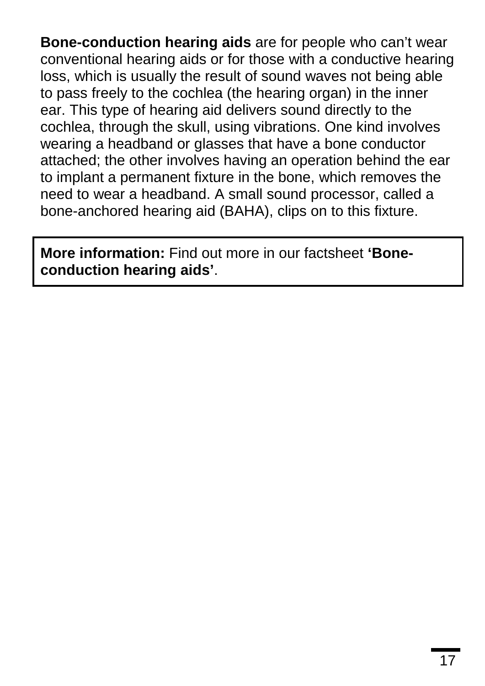**Bone-conduction hearing aids** are for people who can't wear conventional hearing aids or for those with a conductive hearing loss, which is usually the result of sound waves not being able to pass freely to the cochlea (the hearing organ) in the inner ear. This type of hearing aid delivers sound directly to the cochlea, through the skull, using vibrations. One kind involves wearing a headband or glasses that have a bone conductor attached; the other involves having an operation behind the ear to implant a permanent fixture in the bone, which removes the need to wear a headband. A small sound processor, called a bone-anchored hearing aid (BAHA), clips on to this fixture.

**More information:** Find out more in our factsheet **'Boneconduction hearing aids'**.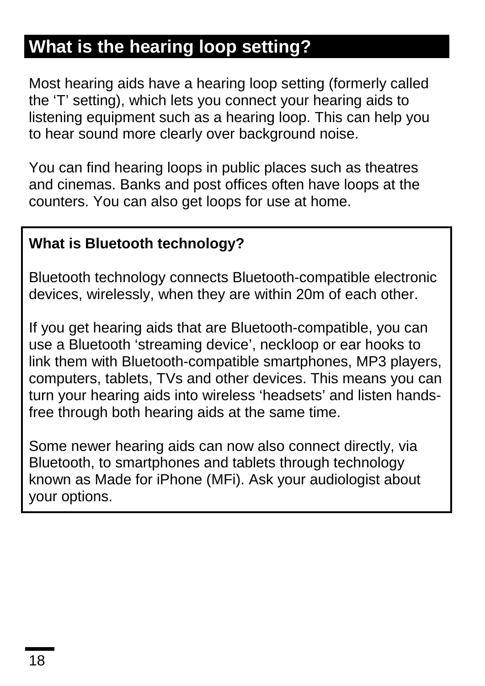## **What is the hearing loop setting?**

Most hearing aids have a hearing loop setting (formerly called the 'T' setting), which lets you connect your hearing aids to listening equipment such as a hearing loop. This can help you to hear sound more clearly over background noise.

You can find hearing loops in public places such as theatres and cinemas. Banks and post offices often have loops at the counters. You can also get loops for use at home.

#### **What is Bluetooth technology?**

Bluetooth technology connects Bluetooth-compatible electronic devices, wirelessly, when they are within 20m of each other.

If you get hearing aids that are Bluetooth-compatible, you can use a Bluetooth 'streaming device', neckloop or ear hooks to link them with Bluetooth-compatible smartphones, MP3 players, computers, tablets, TVs and other devices. This means you can turn your hearing aids into wireless 'headsets' and listen handsfree through both hearing aids at the same time.

Some newer hearing aids can now also connect directly, via Bluetooth, to smartphones and tablets through technology known as Made for iPhone (MFi). Ask your audiologist about your options.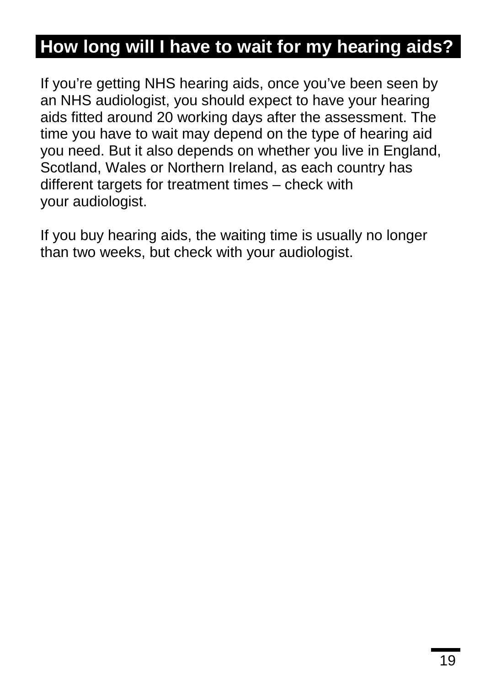## **How long will I have to wait for my hearing aids?**

If you're getting NHS hearing aids, once you've been seen by an NHS audiologist, you should expect to have your hearing aids fitted around 20 working days after the assessment. The time you have to wait may depend on the type of hearing aid you need. But it also depends on whether you live in England, Scotland, Wales or Northern Ireland, as each country has different targets for treatment times – check with your audiologist.

If you buy hearing aids, the waiting time is usually no longer than two weeks, but check with your audiologist.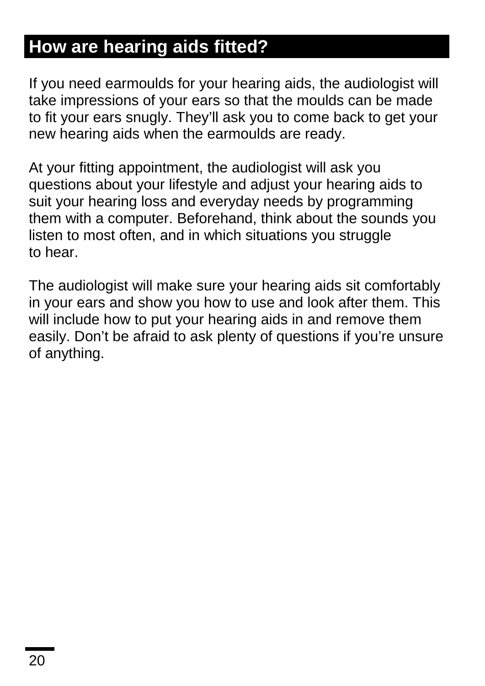### **How are hearing aids fitted?**

If you need earmoulds for your hearing aids, the audiologist will take impressions of your ears so that the moulds can be made to fit your ears snugly. They'll ask you to come back to get your new hearing aids when the earmoulds are ready.

At your fitting appointment, the audiologist will ask you questions about your lifestyle and adjust your hearing aids to suit your hearing loss and everyday needs by programming them with a computer. Beforehand, think about the sounds you listen to most often, and in which situations you struggle to hear.

The audiologist will make sure your hearing aids sit comfortably in your ears and show you how to use and look after them. This will include how to put your hearing aids in and remove them easily. Don't be afraid to ask plenty of questions if you're unsure of anything.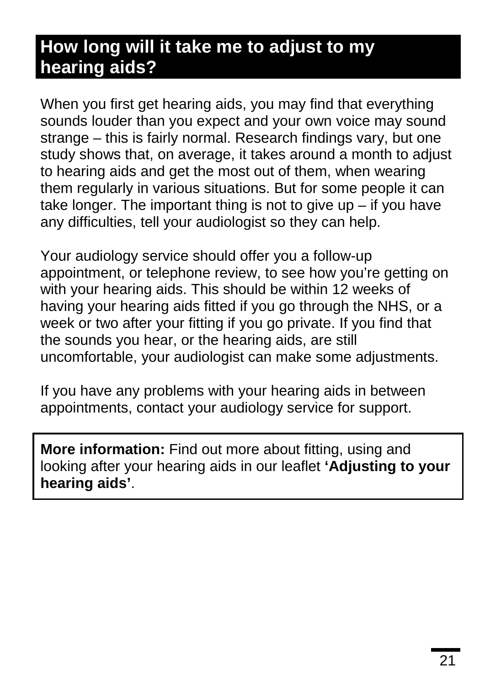### **How long will it take me to adjust to my hearing aids?**

When you first get hearing aids, you may find that everything sounds louder than you expect and your own voice may sound strange – this is fairly normal. Research findings vary, but one study shows that, on average, it takes around a month to adjust to hearing aids and get the most out of them, when wearing them regularly in various situations. But for some people it can take longer. The important thing is not to give up  $-$  if you have any difficulties, tell your audiologist so they can help.

Your audiology service should offer you a follow-up appointment, or telephone review, to see how you're getting on with your hearing aids. This should be within 12 weeks of having your hearing aids fitted if you go through the NHS, or a week or two after your fitting if you go private. If you find that the sounds you hear, or the hearing aids, are still uncomfortable, your audiologist can make some adjustments.

If you have any problems with your hearing aids in between appointments, contact your audiology service for support.

**More information:** Find out more about fitting, using and looking after your hearing aids in our leaflet **'Adjusting to your hearing aids'**.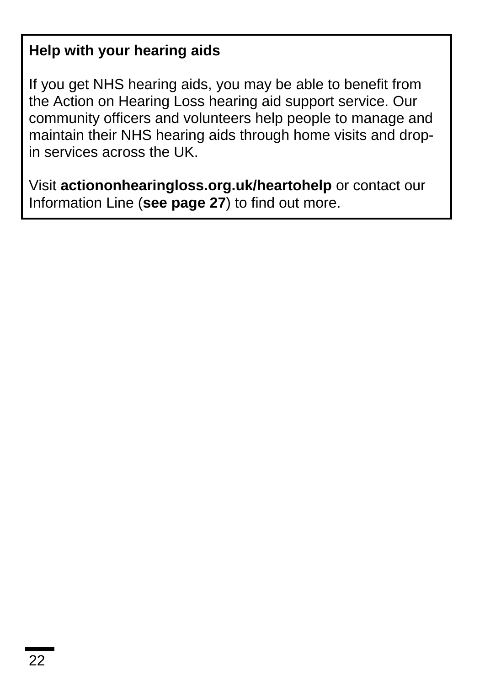#### **Help with your hearing aids**

If you get NHS hearing aids, you may be able to benefit from the Action on Hearing Loss hearing aid support service. Our community officers and volunteers help people to manage and maintain their NHS hearing aids through home visits and dropin services across the UK.

Visit **actiononhearingloss.org.uk/heartohelp** or contact our Information Line (**see page 27**) to find out more.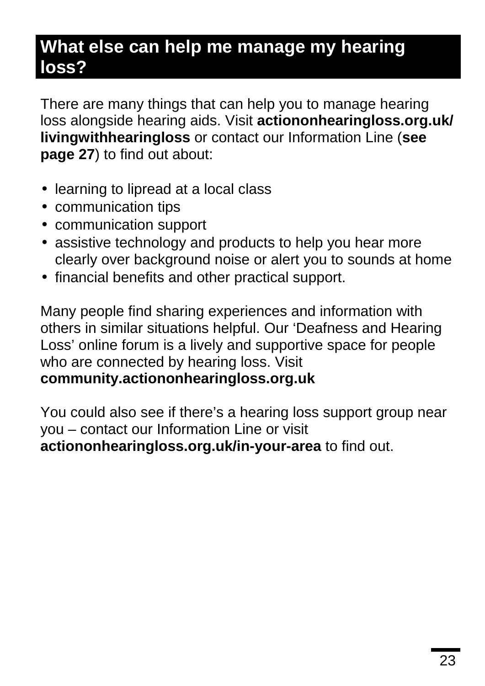### **What else can help me manage my hearing loss?**

There are many things that can help you to manage hearing loss alongside hearing aids. Visit **actiononhearingloss.org.uk/ livingwithhearingloss** or contact our Information Line (**see page 27**) to find out about:

- **larning to lipread at a local class**
- communication tips
- communication support
- assistive technology and products to help you hear more clearly over background noise or alert you to sounds at home
- financial benefits and other practical support.

Many people find sharing experiences and information with others in similar situations helpful. Our 'Deafness and Hearing Loss' online forum is a lively and supportive space for people who are connected by hearing loss. Visit **community.actiononhearingloss.org.uk**

You could also see if there's a hearing loss support group near you – contact our Information Line or visit **actiononhearingloss.org.uk/in-your-area** to find out.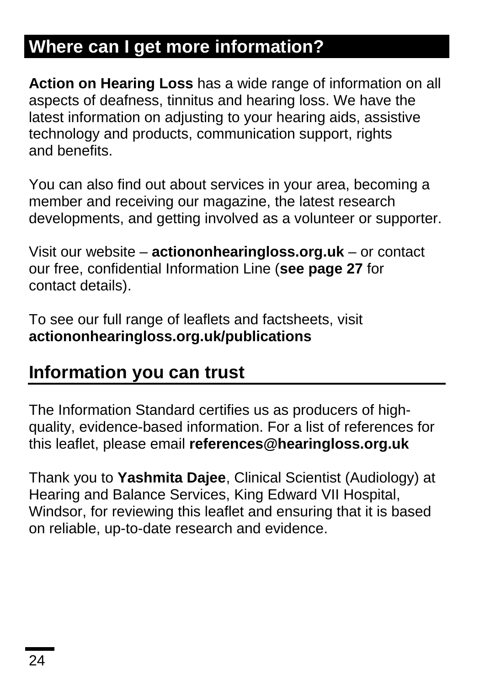## **Where can I get more information?**

**Action on Hearing Loss** has a wide range of information on all aspects of deafness, tinnitus and hearing loss. We have the latest information on adjusting to your hearing aids, assistive technology and products, communication support, rights and benefits.

You can also find out about services in your area, becoming a member and receiving our magazine, the latest research developments, and getting involved as a volunteer or supporter.

Visit our website – **actiononhearingloss.org.uk** – or contact our free, confidential Information Line (**see page 27** for contact details).

To see our full range of leaflets and factsheets, visit **actiononhearingloss.org.uk/publications**

### **Information you can trust**

The Information Standard certifies us as producers of highquality, evidence-based information. For a list of references for this leaflet, please email **references@hearingloss.org.uk**

Thank you to **Yashmita Dajee**, Clinical Scientist (Audiology) at Hearing and Balance Services, King Edward VII Hospital, Windsor, for reviewing this leaflet and ensuring that it is based on reliable, up-to-date research and evidence.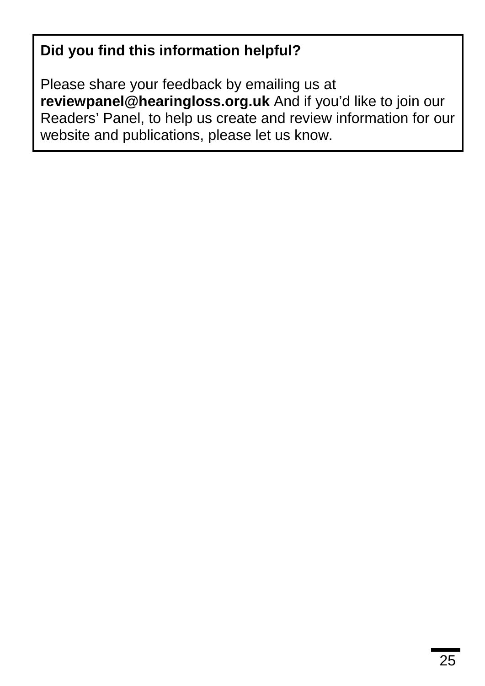### **Did you find this information helpful?**

Please share your feedback by emailing us at **reviewpanel@hearingloss.org.uk** And if you'd like to join our Readers' Panel, to help us create and review information for our website and publications, please let us know.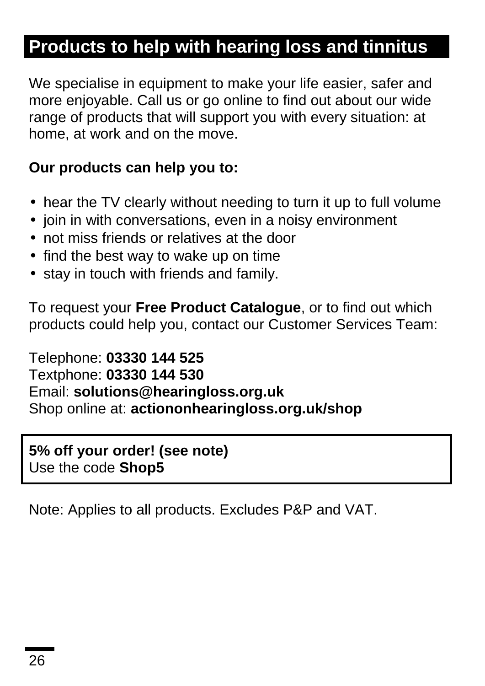## **Products to help with hearing loss and tinnitus**

We specialise in equipment to make your life easier, safer and more enjoyable. Call us or go online to find out about our wide range of products that will support you with every situation: at home, at work and on the move.

#### **Our products can help you to:**

- hear the TV clearly without needing to turn it up to full volume  $\blacksquare$
- $\cdot$  join in with conversations, even in a noisy environment
- not miss friends or relatives at the door
- . find the best way to wake up on time
- $\cdot$  stay in touch with friends and family.

To request your **Free Product Catalogue**, or to find out which products could help you, contact our Customer Services Team:

Telephone: **03330 144 525** Textphone: **03330 144 530** Email: **solutions@hearingloss.org.uk** Shop online at: **actiononhearingloss.org.uk/shop**

**5% off your order! (see note)** Use the code **Shop5**

Note: Applies to all products. Excludes P&P and VAT.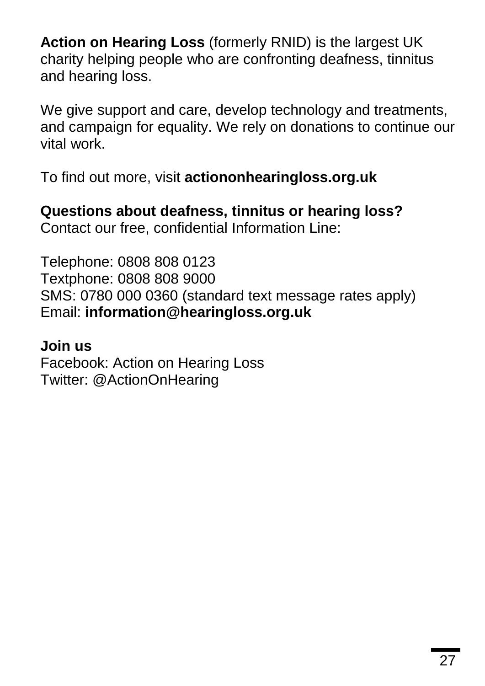**Action on Hearing Loss** (formerly RNID) is the largest UK charity helping people who are confronting deafness, tinnitus and hearing loss.

We give support and care, develop technology and treatments, and campaign for equality. We rely on donations to continue our vital work.

To find out more, visit **actiononhearingloss.org.uk**

**Questions about deafness, tinnitus or hearing loss?** Contact our free, confidential Information Line:

Telephone: 0808 808 0123 Textphone: 0808 808 9000 SMS: 0780 000 0360 (standard text message rates apply) Email: **[information@hearingloss.org.uk](mailto:information@hearingloss.org.uk)**

#### **Join us**

Facebook: Action on Hearing Loss Twitter: @ActionOnHearing